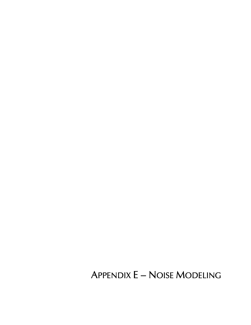**APPENDIX E - NOISE MODELING**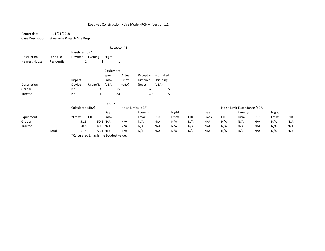Report date: 11/21/2018Case Description: Greenville Project- Site Prep

|                              |                         | $---$ Receptor #1 $---$    |              |            |        |                 |           |  |  |  |
|------------------------------|-------------------------|----------------------------|--------------|------------|--------|-----------------|-----------|--|--|--|
| Description<br>Nearest House | Land Use<br>Residential | Baselines (dBA)<br>Daytime | Evening<br>1 | Night<br>1 | 1      |                 |           |  |  |  |
|                              |                         |                            |              | Equipment  |        |                 |           |  |  |  |
|                              |                         |                            |              | Spec       | Actual | Receptor        | Estimated |  |  |  |
|                              |                         | Impact                     |              | Lmax       | Lmax   | <b>Distance</b> | Shielding |  |  |  |
| Description                  |                         | Device                     | Usage $(\%)$ | (dBA)      | (dBA)  | (feet)          | (dBA)     |  |  |  |
| Grader                       |                         | No                         |              | 40         | 85     | 1325            | 5         |  |  |  |
| Tractor                      |                         | No                         |              | 40         | 84     | 1325            | 5         |  |  |  |

|           |       |                                                                                                                                                                                                                                                                                                                                                                                                                                                                                         | Results                                                                                                                                                                                                                               |                 |                    |     |       |     |      |                 |                              |                 |       |                 |
|-----------|-------|-----------------------------------------------------------------------------------------------------------------------------------------------------------------------------------------------------------------------------------------------------------------------------------------------------------------------------------------------------------------------------------------------------------------------------------------------------------------------------------------|---------------------------------------------------------------------------------------------------------------------------------------------------------------------------------------------------------------------------------------|-----------------|--------------------|-----|-------|-----|------|-----------------|------------------------------|-----------------|-------|-----------------|
|           |       | Calculated (dBA)                                                                                                                                                                                                                                                                                                                                                                                                                                                                        |                                                                                                                                                                                                                                       |                 | Noise Limits (dBA) |     |       |     |      |                 | Noise Limit Exceedance (dBA) |                 |       |                 |
|           |       |                                                                                                                                                                                                                                                                                                                                                                                                                                                                                         | Day                                                                                                                                                                                                                                   |                 | Evening            |     | Night |     | Day  |                 | Evening                      |                 | Night |                 |
| Equipment |       | *Lmax<br>L <sub>10</sub>                                                                                                                                                                                                                                                                                                                                                                                                                                                                | Lmax                                                                                                                                                                                                                                  | L <sub>10</sub> | Lmax               | L10 | Lmax  | L10 | Lmax | L <sub>10</sub> | Lmax                         | L <sub>10</sub> | Lmax  | L <sub>10</sub> |
| Grader    |       | 51.5                                                                                                                                                                                                                                                                                                                                                                                                                                                                                    | 50.6 N/A                                                                                                                                                                                                                              | N/A             | N/A                | N/A | N/A   | N/A | N/A  | N/A             | N/A                          | N/A             | N/A   | N/A             |
| Tractor   |       | 50.5                                                                                                                                                                                                                                                                                                                                                                                                                                                                                    | 49.6 N/A                                                                                                                                                                                                                              | N/A             | N/A                | N/A | N/A   | N/A | N/A  | N/A             | N/A                          | N/A             | N/A   | N/A             |
|           | Total | 51.5                                                                                                                                                                                                                                                                                                                                                                                                                                                                                    | 53.1 N/A                                                                                                                                                                                                                              | N/A             | N/A                | N/A | N/A   | N/A | N/A  | N/A             | N/A                          | N/A             | N/A   | N/A             |
|           |       | $\begin{array}{ccccccccccccccccc} \multicolumn{4}{c}{} & \multicolumn{4}{c}{} & \multicolumn{4}{c}{} & \multicolumn{4}{c}{} & \multicolumn{4}{c}{} & \multicolumn{4}{c}{} & \multicolumn{4}{c}{} & \multicolumn{4}{c}{} & \multicolumn{4}{c}{} & \multicolumn{4}{c}{} & \multicolumn{4}{c}{} & \multicolumn{4}{c}{} & \multicolumn{4}{c}{} & \multicolumn{4}{c}{} & \multicolumn{4}{c}{} & \multicolumn{4}{c}{} & \multicolumn{4}{c}{} & \multicolumn{4}{c}{} & \multicolumn{4}{c}{} &$ | $\mathbf{r}$ and $\mathbf{r}$ are associated to the set of the set of the set of the set of the set of the set of the set of the set of the set of the set of the set of the set of the set of the set of the set of the set of the s |                 |                    |     |       |     |      |                 |                              |                 |       |                 |

\*Calculated Lmax is the Loudest value.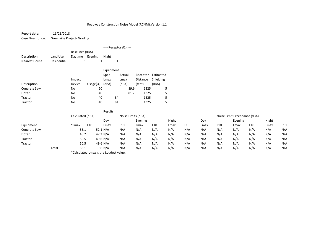Report date: 11/21/2018Case Description: Greenville Project- Grading

|               |             |                 |             |           | ---- Receptor #1 ---- |      |                 |           |
|---------------|-------------|-----------------|-------------|-----------|-----------------------|------|-----------------|-----------|
|               |             | Baselines (dBA) |             |           |                       |      |                 |           |
| Description   | Land Use    | Daytime         | Evening     | Night     |                       |      |                 |           |
| Nearest House | Residential | 1               |             | 1         | 1                     |      |                 |           |
|               |             |                 |             | Equipment |                       |      |                 |           |
|               |             |                 |             | Spec      | Actual                |      | Receptor        | Estimated |
|               |             | Impact          |             | Lmax      | Lmax                  |      | <b>Distance</b> | Shielding |
| Description   |             | Device          | $Usage(\%)$ | (dBA)     | (dBA)                 |      | (feet)          | (dBA)     |
| Concrete Saw  |             | No              | 20          |           |                       | 89.6 | 1325            | 5         |
| Dozer         |             | No              | 40          |           |                       | 81.7 | 1325            | 5         |
| Tractor       |             | No              | 40          |           | 84                    |      | 1325            | 5         |
| Tractor       |             | No              | 40          |           | 84                    |      | 1325            | 5         |

|              | Results |                                        |     |            |     |                    |                 |       |                 |      |                 |                              |                 |       |                 |
|--------------|---------|----------------------------------------|-----|------------|-----|--------------------|-----------------|-------|-----------------|------|-----------------|------------------------------|-----------------|-------|-----------------|
|              |         | Calculated (dBA)                       |     |            |     | Noise Limits (dBA) |                 |       |                 |      |                 | Noise Limit Exceedance (dBA) |                 |       |                 |
|              |         |                                        |     | Day        |     | Evening            |                 | Night |                 | Day  |                 | Evening                      |                 | Night |                 |
| Equipment    |         | *Lmax                                  | L10 | Lmax       | L10 | Lmax               | L <sub>10</sub> | Lmax  | L <sub>10</sub> | Lmax | L <sub>10</sub> | Lmax                         | L <sub>10</sub> | Lmax  | L <sub>10</sub> |
| Concrete Saw |         | 56.1                                   |     | 52.1 $N/A$ | N/A | N/A                | N/A             | N/A   | N/A             | N/A  | N/A             | N/A                          | N/A             | N/A   | N/A             |
| Dozer        |         | 48.2                                   |     | 47.2 N/A   | N/A | N/A                | N/A             | N/A   | N/A             | N/A  | N/A             | N/A                          | N/A             | N/A   | N/A             |
| Tractor      |         | 50.5                                   |     | 49.6 N/A   | N/A | N/A                | N/A             | N/A   | N/A             | N/A  | N/A             | N/A                          | N/A             | N/A   | N/A             |
| Tractor      |         | 50.5                                   |     | 49.6 N/A   | N/A | N/A                | N/A             | N/A   | N/A             | N/A  | N/A             | N/A                          | N/A             | N/A   | N/A             |
|              | Total   | 56.1                                   |     | 56 N/A     | N/A | N/A                | N/A             | N/A   | N/A             | N/A  | N/A             | N/A                          | N/A             | N/A   | N/A             |
|              |         | *Calculated Lmax is the Loudest value. |     |            |     |                    |                 |       |                 |      |                 |                              |                 |       |                 |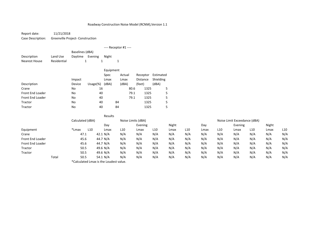Report date: 11/21/2018 Greenville Project- ConstructionCase Description:

---- Receptor #1 ----Baselines (dBA) Land Use Daytime Evening Night DescriptionNearest HouseResidential 1 <sup>1</sup> <sup>1</sup> EquipmentSpecActual Receptor Estimated<br>
Lmax Distance Shielding Lmax Distance Shielding Impact LmaxDescription Device Usage(%) (dBA) (dBA) (feet) (dBA) Cranee No 0 16 80.6 1325 5 Front End Loader No <sup>40</sup> 79.1 <sup>1325</sup> <sup>5</sup> Front End Loader No <sup>40</sup> 79.1 <sup>1325</sup> <sup>5</sup> Tractorr No 0 40 84 1325 5 Tractorr No 0 40 84 1325 5

|                  |                                        | Results                 |                 |                    |                 |       |                 |      |                 |                              |     |       |                 |
|------------------|----------------------------------------|-------------------------|-----------------|--------------------|-----------------|-------|-----------------|------|-----------------|------------------------------|-----|-------|-----------------|
|                  | Calculated (dBA)                       |                         |                 | Noise Limits (dBA) |                 |       |                 |      |                 | Noise Limit Exceedance (dBA) |     |       |                 |
|                  |                                        | Day                     |                 | Evening            |                 | Night |                 | Day  |                 | Evening                      |     | Night |                 |
| Equipment        | *Lmax                                  | L <sub>10</sub><br>Lmax | L <sub>10</sub> | Lmax               | L <sub>10</sub> | Lmax  | L <sub>10</sub> | Lmax | L <sub>10</sub> | Lmax                         | L10 | Lmax  | L <sub>10</sub> |
| Crane            | 47.1                                   | 42.1 N/A                | N/A             | N/A                | N/A             | N/A   | N/A             | N/A  | N/A             | N/A                          | N/A | N/A   | N/A             |
| Front End Loader | 45.6                                   | 44.7 N/A                | N/A             | N/A                | N/A             | N/A   | N/A             | N/A  | N/A             | N/A                          | N/A | N/A   | N/A             |
| Front End Loader | 45.6                                   | 44.7 N/A                | N/A             | N/A                | N/A             | N/A   | N/A             | N/A  | N/A             | N/A                          | N/A | N/A   | N/A             |
| Tractor          | 50.5                                   | 49.6 N/A                | N/A             | N/A                | N/A             | N/A   | N/A             | N/A  | N/A             | N/A                          | N/A | N/A   | N/A             |
| Tractor          | 50.5                                   | 49.6 N/A                | N/A             | N/A                | N/A             | N/A   | N/A             | N/A  | N/A             | N/A                          | N/A | N/A   | N/A             |
| Total            | 50.5                                   | 54.1 N/A                | N/A             | N/A                | N/A             | N/A   | N/A             | N/A  | N/A             | N/A                          | N/A | N/A   | N/A             |
|                  | *Calculated Lmax is the Loudest value. |                         |                 |                    |                 |       |                 |      |                 |                              |     |       |                 |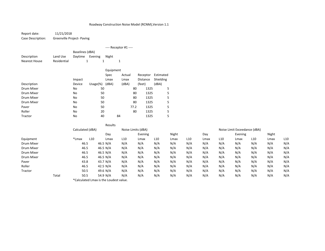Report date:Case Description:

 11/21/2018Greenville Project- Paving

|                      |             |                            |              | ---- Receptor #1 ---- |    |        |      |          |           |
|----------------------|-------------|----------------------------|--------------|-----------------------|----|--------|------|----------|-----------|
| Description          | Land Use    | Baselines (dBA)<br>Daytime | Evening      | Night                 |    |        |      |          |           |
| <b>Nearest House</b> | Residential | 1                          | 1            |                       | 1  |        |      |          |           |
|                      |             |                            |              |                       |    |        |      |          |           |
|                      |             |                            |              | Equipment             |    |        |      |          |           |
|                      |             |                            |              | Spec                  |    | Actual |      | Receptor | Estimated |
|                      |             | Impact                     |              | Lmax                  |    | Lmax   |      | Distance | Shielding |
| Description          |             | Device                     | Usage $(\%)$ | (dBA)                 |    | (dBA)  |      | (feet)   | (dBA)     |
| Drum Mixer           |             | No                         | 50           |                       |    |        | 80   | 1325     | 5         |
| Drum Mixer           |             | No                         | 50           |                       |    |        | 80   | 1325     | 5         |
| Drum Mixer           |             | No                         | 50           |                       |    |        | 80   | 1325     | 5         |
| Drum Mixer           |             | No                         | 50           |                       |    |        | 80   | 1325     | 5         |
| Paver                |             | No                         | 50           |                       |    |        | 77.2 | 1325     | 5         |
| Roller               |             | No                         | 20           |                       |    |        | 80   | 1325     | 5         |
| Tractor              |             | No                         | 40           |                       | 84 |        |      | 1325     | 5         |

|            |       |                          |                                        | Results         |                    |     |       |                 |      |                 |                              |                 |       |                 |
|------------|-------|--------------------------|----------------------------------------|-----------------|--------------------|-----|-------|-----------------|------|-----------------|------------------------------|-----------------|-------|-----------------|
|            |       | Calculated (dBA)         |                                        |                 | Noise Limits (dBA) |     |       |                 |      |                 | Noise Limit Exceedance (dBA) |                 |       |                 |
|            |       |                          | Day                                    |                 | Evening            |     | Night |                 | Day  |                 | Evening                      |                 | Night |                 |
| Equipment  |       | *Lmax<br>L <sub>10</sub> | Lmax                                   | L <sub>10</sub> | Lmax               | L10 | Lmax  | L <sub>10</sub> | Lmax | L <sub>10</sub> | Lmax                         | L <sub>10</sub> | Lmax  | L <sub>10</sub> |
| Drum Mixer |       | 46.5                     | 46.5 N/A                               | N/A             | N/A                | N/A | N/A   | N/A             | N/A  | N/A             | N/A                          | N/A             | N/A   | N/A             |
| Drum Mixer |       | 46.5                     | 46.5 N/A                               | N/A             | N/A                | N/A | N/A   | N/A             | N/A  | N/A             | N/A                          | N/A             | N/A   | N/A             |
| Drum Mixer |       | 46.5                     | 46.5 N/A                               | N/A             | N/A                | N/A | N/A   | N/A             | N/A  | N/A             | N/A                          | N/A             | N/A   | N/A             |
| Drum Mixer |       | 46.5                     | 46.5 N/A                               | N/A             | N/A                | N/A | N/A   | N/A             | N/A  | N/A             | N/A                          | N/A             | N/A   | N/A             |
| Paver      |       | 43.8                     | 43.7 N/A                               | N/A             | N/A                | N/A | N/A   | N/A             | N/A  | N/A             | N/A                          | N/A             | N/A   | N/A             |
| Roller     |       | 46.5                     | 42.5 $N/A$                             | N/A             | N/A                | N/A | N/A   | N/A             | N/A  | N/A             | N/A                          | N/A             | N/A   | N/A             |
| Tractor    |       | 50.5                     | 49.6 N/A                               | N/A             | N/A                | N/A | N/A   | N/A             | N/A  | N/A             | N/A                          | N/A             | N/A   | N/A             |
|            | Total | 50.5                     | 54.9 N/A                               | N/A             | N/A                | N/A | N/A   | N/A             | N/A  | N/A             | N/A                          | N/A             | N/A   | N/A             |
|            |       |                          | *Calculated Lmax is the Loudest value. |                 |                    |     |       |                 |      |                 |                              |                 |       |                 |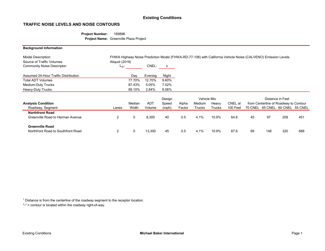# Existing Conditions

### TRAFFIC NOISE LEVELS AND NOISE CONTOURS

### Project Number: 169896 Project Name: Greenville Plaza Project

| <b>Background Information</b>                                                                 |                              |        |            |        |        |                    |        |                                                                                                               |         |     |                                       |     |
|-----------------------------------------------------------------------------------------------|------------------------------|--------|------------|--------|--------|--------------------|--------|---------------------------------------------------------------------------------------------------------------|---------|-----|---------------------------------------|-----|
| <b>Model Description:</b><br>Source of Traffic Volumes:<br><b>Community Noise Descriptor:</b> | Aliquot (2018)<br>$L_{dn}$ : |        | CNEL:      | x      |        |                    |        | FHWA Highway Noise Prediction Model (FHWA-RD-77-108) with California Vehicle Noise (CALVENO) Emission Levels. |         |     |                                       |     |
| Assumed 24-Hour Traffic Distribution:                                                         |                              | Day    | Evening    | Night  |        |                    |        |                                                                                                               |         |     |                                       |     |
| <b>Total ADT Volumes</b>                                                                      |                              | 77.70% | 12.70%     | 9.60%  |        |                    |        |                                                                                                               |         |     |                                       |     |
| Medium-Duty Trucks                                                                            |                              | 87.43% | 5.05%      | 7.52%  |        |                    |        |                                                                                                               |         |     |                                       |     |
| Heavy-Duty Trucks                                                                             |                              | 89.10% | 2.84%      | 8.06%  |        |                    |        |                                                                                                               |         |     |                                       |     |
|                                                                                               |                              |        |            | Design |        | <b>Vehicle Mix</b> |        |                                                                                                               |         |     | Distance in Feet                      |     |
| <b>Analysis Condition</b>                                                                     |                              | Median | <b>ADT</b> | Speed  | Alpha  | Medium             | Heavy  | CNEL at                                                                                                       |         |     | from Centerline of Roadway to Contour |     |
| Roadway, Segment                                                                              | Lanes                        | Width  | Volume     | (mph)  | Factor | <b>Trucks</b>      | Trucks | 100 Feet                                                                                                      | 70 CNEL |     | 65 CNEL 60 CNEL 55 CNEL               |     |
| <b>Northfront Road</b>                                                                        |                              |        |            |        |        |                    |        |                                                                                                               |         |     |                                       |     |
| Greenville Road to Herman Avenue                                                              | $\overline{2}$               | 0      | 8,300      | 40     | 0.5    | 4.1%               | 10.9%  | 64.8                                                                                                          | 45      | 97  | 209                                   | 451 |
| <b>Greenville Road</b>                                                                        |                              |        |            |        |        |                    |        |                                                                                                               |         |     |                                       |     |
| Northfront Road to Southfront Road                                                            | 2                            | 0      | 13,300     | 45     | 0.5    | 4.1%               | 10.9%  | 67.6                                                                                                          | 69      | 148 | 320                                   | 688 |

 $1$  Distance is from the centerline of the roadway segment to the receptor location.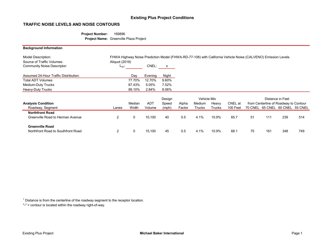# Existing Plus Project Conditions

## TRAFFIC NOISE LEVELS AND NOISE CONTOURS

### Project Number: 169896 Project Name: Greenville Plaza Project

| <b>Background Information</b>                                                                 |                              |        |            |        |        |                    |        |                                                                                                               |         |     |                                       |     |
|-----------------------------------------------------------------------------------------------|------------------------------|--------|------------|--------|--------|--------------------|--------|---------------------------------------------------------------------------------------------------------------|---------|-----|---------------------------------------|-----|
| <b>Model Description:</b><br>Source of Traffic Volumes:<br><b>Community Noise Descriptor:</b> | Aliquot (2018)<br>$L_{dn}$ : |        | CNEL:      | X      |        |                    |        | FHWA Highway Noise Prediction Model (FHWA-RD-77-108) with California Vehicle Noise (CALVENO) Emission Levels. |         |     |                                       |     |
|                                                                                               |                              |        |            |        |        |                    |        |                                                                                                               |         |     |                                       |     |
| Assumed 24-Hour Traffic Distribution:                                                         |                              | Day    | Evening    | Night  |        |                    |        |                                                                                                               |         |     |                                       |     |
| <b>Total ADT Volumes</b>                                                                      |                              | 77.70% | 12.70%     | 9.60%  |        |                    |        |                                                                                                               |         |     |                                       |     |
| Medium-Duty Trucks                                                                            |                              | 87.43% | 5.05%      | 7.52%  |        |                    |        |                                                                                                               |         |     |                                       |     |
| Heavy-Duty Trucks                                                                             |                              | 89.10% | 2.84%      | 8.06%  |        |                    |        |                                                                                                               |         |     |                                       |     |
|                                                                                               |                              |        |            | Design |        | <b>Vehicle Mix</b> |        |                                                                                                               |         |     | Distance in Feet                      |     |
| <b>Analysis Condition</b>                                                                     |                              | Median | <b>ADT</b> | Speed  | Alpha  | Medium             | Heavy  | CNEL at                                                                                                       |         |     | from Centerline of Roadway to Contour |     |
| Roadway, Segment                                                                              | Lanes                        | Width  | Volume     | (mph)  | Factor | <b>Trucks</b>      | Trucks | 100 Feet                                                                                                      | 70 CNEL |     | 65 CNEL 60 CNEL 55 CNEL               |     |
| <b>Northfront Road</b>                                                                        |                              |        |            |        |        |                    |        |                                                                                                               |         |     |                                       |     |
| Greenville Road to Herman Avenue                                                              | $\overline{2}$               | 0      | 10,100     | 40     | 0.5    | 4.1%               | 10.9%  | 65.7                                                                                                          | 51      | 111 | 239                                   | 514 |
| <b>Greenville Road</b>                                                                        |                              |        |            |        |        |                    |        |                                                                                                               |         |     |                                       |     |
| Northfront Road to Southfront Road                                                            | 2                            | 0      | 15,100     | 45     | 0.5    | 4.1%               | 10.9%  | 68.1                                                                                                          | 75      | 161 | 348                                   | 749 |

 $1$  Distance is from the centerline of the roadway segment to the receptor location.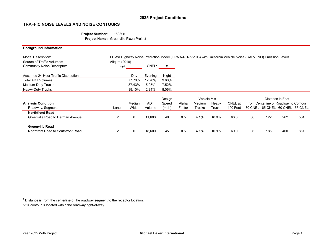# 2035 Project Conditions

### TRAFFIC NOISE LEVELS AND NOISE CONTOURS

### Project Number: 169896 Project Name: Greenville Plaza Project

| <b>Background Information</b>                           |                |        |            |        |        |               |               |                                                                                                               |         |     |                                       |     |
|---------------------------------------------------------|----------------|--------|------------|--------|--------|---------------|---------------|---------------------------------------------------------------------------------------------------------------|---------|-----|---------------------------------------|-----|
| <b>Model Description:</b><br>Source of Traffic Volumes: | Aliquot (2018) |        |            |        |        |               |               | FHWA Highway Noise Prediction Model (FHWA-RD-77-108) with California Vehicle Noise (CALVENO) Emission Levels. |         |     |                                       |     |
| Community Noise Descriptor:                             | $L_{dn}$ :     |        | CNEL:      | x      |        |               |               |                                                                                                               |         |     |                                       |     |
| Assumed 24-Hour Traffic Distribution:                   |                | Day    | Evening    | Night  |        |               |               |                                                                                                               |         |     |                                       |     |
| <b>Total ADT Volumes</b>                                |                | 77.70% | 12.70%     | 9.60%  |        |               |               |                                                                                                               |         |     |                                       |     |
| Medium-Duty Trucks                                      |                | 87.43% | 5.05%      | 7.52%  |        |               |               |                                                                                                               |         |     |                                       |     |
| Heavy-Duty Trucks                                       |                | 89.10% | 2.84%      | 8.06%  |        |               |               |                                                                                                               |         |     |                                       |     |
|                                                         |                |        |            | Design |        | Vehicle Mix   |               |                                                                                                               |         |     | Distance in Feet                      |     |
| <b>Analysis Condition</b>                               |                | Median | <b>ADT</b> | Speed  | Alpha  | Medium        | Heavy         | CNEL at                                                                                                       |         |     | from Centerline of Roadway to Contour |     |
| Roadway, Segment                                        | Lanes          | Width  | Volume     | (mph)  | Factor | <b>Trucks</b> | <b>Trucks</b> | 100 Feet                                                                                                      | 70 CNEL |     | 65 CNEL 60 CNEL 55 CNEL               |     |
| <b>Northfront Road</b>                                  |                |        |            |        |        |               |               |                                                                                                               |         |     |                                       |     |
| Greenville Road to Herman Avenue                        | $\overline{2}$ | 0      | 11,600     | 40     | 0.5    | 4.1%          | 10.9%         | 66.3                                                                                                          | 56      | 122 | 262                                   | 564 |
| <b>Greenville Road</b>                                  |                |        |            |        |        |               |               |                                                                                                               |         |     |                                       |     |
| Northfront Road to Southfront Road                      | 2              | 0      | 18,600     | 45     | 0.5    | 4.1%          | 10.9%         | 69.0                                                                                                          | 86      | 185 | 400                                   | 861 |

 $1$  Distance is from the centerline of the roadway segment to the receptor location.